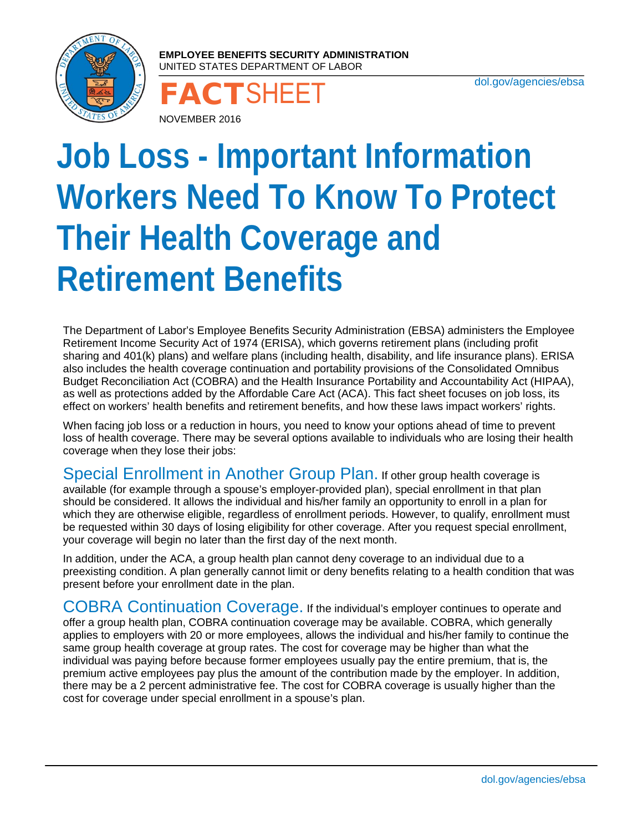

**EMPLOYEE BENEFITS SECURITY ADMINISTRATION**  UNITED STATES DEPARTMENT OF LABOR

[dol.gov/agencies/ebsa](http://dol.gov/agencies/ebsa) NOVEMBER 2016

## **Job Loss - Important Information Workers Need To Know To Protect Their Health Coverage and Retirement Benefits**

The Department of Labor's Employee Benefits Security Administration (EBSA) administers the Employee Retirement Income Security Act of 1974 (ERISA), which governs retirement plans (including profit sharing and 401(k) plans) and welfare plans (including health, disability, and life insurance plans). ERISA also includes the health coverage continuation and portability provisions of the Consolidated Omnibus Budget Reconciliation Act (COBRA) and the Health Insurance Portability and Accountability Act (HIPAA), as well as protections added by the Affordable Care Act (ACA). This fact sheet focuses on job loss, its effect on workers' health benefits and retirement benefits, and how these laws impact workers' rights.

When facing job loss or a reduction in hours, you need to know your options ahead of time to prevent loss of health coverage. There may be several options available to individuals who are losing their health coverage when they lose their jobs:

Special Enrollment in Another Group Plan. If other group health coverage is available (for example through a spouse's employer-provided plan), special enrollment in that plan should be considered. It allows the individual and his/her family an opportunity to enroll in a plan for which they are otherwise eligible, regardless of enrollment periods. However, to qualify, enrollment must be requested within 30 days of losing eligibility for other coverage. After you request special enrollment, your coverage will begin no later than the first day of the next month.

In addition, under the ACA, a group health plan cannot deny coverage to an individual due to a preexisting condition. A plan generally cannot limit or deny benefits relating to a health condition that was present before your enrollment date in the plan.

COBRA Continuation Coverage. If the individual's employer continues to operate and offer a group health plan, COBRA continuation coverage may be available. COBRA, which generally applies to employers with 20 or more employees, allows the individual and his/her family to continue the same group health coverage at group rates. The cost for coverage may be higher than what the individual was paying before because former employees usually pay the entire premium, that is, the premium active employees pay plus the amount of the contribution made by the employer. In addition, there may be a 2 percent administrative fee. The cost for COBRA coverage is usually higher than the cost for coverage under special enrollment in a spouse's plan.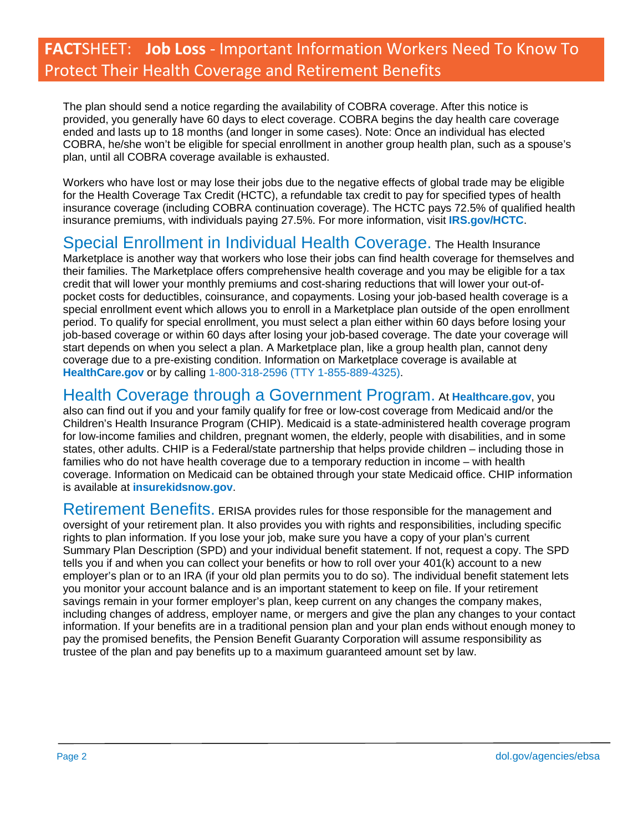## **FACT**SHEET: **Job Loss** - Important Information Workers Need To Know To Protect Their Health Coverage and Retirement Benefits

The plan should send a notice regarding the availability of COBRA coverage. After this notice is provided, you generally have 60 days to elect coverage. COBRA begins the day health care coverage ended and lasts up to 18 months (and longer in some cases). Note: Once an individual has elected COBRA, he/she won't be eligible for special enrollment in another group health plan, such as a spouse's plan, until all COBRA coverage available is exhausted.

Workers who have lost or may lose their jobs due to the negative effects of global trade may be eligible for the Health Coverage Tax Credit (HCTC), a refundable tax credit to pay for specified types of health insurance coverage (including COBRA continuation coverage). The HCTC pays 72.5% of qualified health insurance premiums, with individuals paying 27.5%. For more information, visit **[IRS.gov/HCTC](https://www.irs.gov/credits-deductions/individuals/hctc)**.

## Special Enrollment in Individual Health Coverage. The Health Insurance

Marketplace is another way that workers who lose their jobs can find health coverage for themselves and their families. The Marketplace offers comprehensive health coverage and you may be eligible for a tax credit that will lower your monthly premiums and cost-sharing reductions that will lower your out-ofpocket costs for deductibles, coinsurance, and copayments. Losing your job-based health coverage is a special enrollment event which allows you to enroll in a Marketplace plan outside of the open enrollment period. To qualify for special enrollment, you must select a plan either within 60 days before losing your job-based coverage or within 60 days after losing your job-based coverage. The date your coverage will start depends on when you select a plan. A Marketplace plan, like a group health plan, cannot deny coverage due to a pre-existing condition. Information on Marketplace coverage is available at **[HealthCare.gov](https://www.healthcare.gov/)** or by calling 1-800-318-2596 (TTY 1-855-889-4325).

Health Coverage through a Government Program. At **[Healthcare.gov](https://www.healthcare.gov/)**, you

also can find out if you and your family qualify for free or low-cost coverage from Medicaid and/or the Children's Health Insurance Program (CHIP). Medicaid is a state-administered health coverage program for low-income families and children, pregnant women, the elderly, people with disabilities, and in some states, other adults. CHIP is a Federal/state partnership that helps provide children – including those in families who do not have health coverage due to a temporary reduction in income – with health coverage. Information on Medicaid can be obtained through your state Medicaid office. CHIP information is available at **[insurekidsnow.gov](https://www.insurekidsnow.gov/)**.

Retirement Benefits. ERISA provides rules for those responsible for the management and oversight of your retirement plan. It also provides you with rights and responsibilities, including specific rights to plan information. If you lose your job, make sure you have a copy of your plan's current Summary Plan Description (SPD) and your individual benefit statement. If not, request a copy. The SPD tells you if and when you can collect your benefits or how to roll over your 401(k) account to a new employer's plan or to an IRA (if your old plan permits you to do so). The individual benefit statement lets you monitor your account balance and is an important statement to keep on file. If your retirement savings remain in your former employer's plan, keep current on any changes the company makes, including changes of address, employer name, or mergers and give the plan any changes to your contact information. If your benefits are in a traditional pension plan and your plan ends without enough money to pay the promised benefits, the Pension Benefit Guaranty Corporation will assume responsibility as trustee of the plan and pay benefits up to a maximum guaranteed amount set by law.